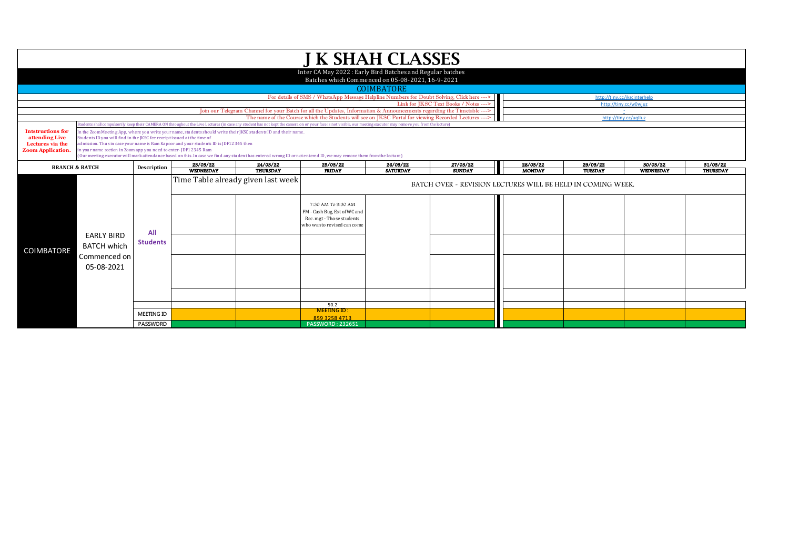|                                                                                            |                                                                                                                                                                                                                                                                                                                                                                                                                                                                                                                               |                        |                                    |                             | <b>J K SHAH CLASSES</b>                                                                                                                                                                                                        |                             |                                                             |                           |                              |                       |                      |
|--------------------------------------------------------------------------------------------|-------------------------------------------------------------------------------------------------------------------------------------------------------------------------------------------------------------------------------------------------------------------------------------------------------------------------------------------------------------------------------------------------------------------------------------------------------------------------------------------------------------------------------|------------------------|------------------------------------|-----------------------------|--------------------------------------------------------------------------------------------------------------------------------------------------------------------------------------------------------------------------------|-----------------------------|-------------------------------------------------------------|---------------------------|------------------------------|-----------------------|----------------------|
|                                                                                            |                                                                                                                                                                                                                                                                                                                                                                                                                                                                                                                               |                        |                                    |                             | Inter CA May 2022: Early Bird Batches and Regular batches<br>Batches which Commenced on 05-08-2021, 16-9-2021                                                                                                                  |                             |                                                             |                           |                              |                       |                      |
|                                                                                            |                                                                                                                                                                                                                                                                                                                                                                                                                                                                                                                               |                        |                                    |                             |                                                                                                                                                                                                                                | <b>COIMBATORE</b>           |                                                             |                           |                              |                       |                      |
|                                                                                            |                                                                                                                                                                                                                                                                                                                                                                                                                                                                                                                               |                        |                                    |                             | For details of SMS / WhatsApp Message Helpline Numbers for Doubt Solving, Click here --->                                                                                                                                      |                             |                                                             |                           | http://tiny.cc/jkscinterhelp |                       |                      |
|                                                                                            |                                                                                                                                                                                                                                                                                                                                                                                                                                                                                                                               |                        |                                    |                             |                                                                                                                                                                                                                                |                             | Link for JKSC Text Books / Notes --->                       |                           | http://tiny.cc/w0wjuz        |                       |                      |
|                                                                                            |                                                                                                                                                                                                                                                                                                                                                                                                                                                                                                                               |                        |                                    |                             | Join our Telegram Channel for your Batch for all the Updates, Information & Announcements regarding the Timetable ---><br>The name of the Course which the Students will see on JKSC Portal for viewing Recorded Lectures ---> |                             |                                                             |                           | http://tiny.cc/uqlluz        |                       |                      |
|                                                                                            |                                                                                                                                                                                                                                                                                                                                                                                                                                                                                                                               |                        |                                    |                             | tudents shall compulsorily keep their CAMERA ON throughout the Live Lectures (in case any student has not kept the camera on or your face is not visible, our meeting executor may remove you from the lecture'                |                             |                                                             |                           |                              |                       |                      |
| <b>Intstructions for</b><br>attending Live<br>Lectures via the<br><b>Zoom Application.</b> | In the Zoom Meeting App, where you write your name, students should write their JKSC students ID and their name.<br>Students ID you will find in the JKSC fee receipt issued at the time of<br>admission. Thus in case your name is Ram Kapoor and your students ID is JDF12345 then<br>in your name section in Zoom app you need to enter-JDF12345 Ram<br>(Our meeting executor will mark attendance based on this. In case we find any student has entered wrong ID or not entered ID, we may remove them from the lecture) |                        |                                    |                             |                                                                                                                                                                                                                                |                             |                                                             |                           |                              |                       |                      |
|                                                                                            | <b>BRANCH &amp; BATCH</b>                                                                                                                                                                                                                                                                                                                                                                                                                                                                                                     | Description            | 23/03/22<br><b>WEDNESDAY</b>       | 24/03/22<br><b>THURSDAY</b> | 25/03/22<br><b>FRIDAY</b>                                                                                                                                                                                                      | 26/03/22<br><b>SATURDAY</b> | 27/03/22<br><b>SUNDAY</b>                                   | 28/03/22<br><b>MONDAY</b> | 29/03/22<br>TUESDAY          | 30/03/22<br>WEDNESDAY | 31/03/22<br>THURSDAY |
|                                                                                            |                                                                                                                                                                                                                                                                                                                                                                                                                                                                                                                               |                        | Time Table already given last week |                             | 7:30 AM To 9:30 AM<br>FM - Cash Bug, Est of WC and<br>Rec. mgt - Those students<br>who wanto revised can come                                                                                                                  |                             | BATCH OVER - REVISION LECTURES WILL BE HELD IN COMING WEEK. |                           |                              |                       |                      |
| <b>COIMBATORE</b>                                                                          | <b>EARLY BIRD</b><br><b>BATCH which</b><br>Commenced on<br>05-08-2021                                                                                                                                                                                                                                                                                                                                                                                                                                                         | All<br><b>Students</b> |                                    |                             |                                                                                                                                                                                                                                |                             |                                                             |                           |                              |                       |                      |
|                                                                                            |                                                                                                                                                                                                                                                                                                                                                                                                                                                                                                                               |                        |                                    |                             |                                                                                                                                                                                                                                |                             |                                                             |                           |                              |                       |                      |
|                                                                                            |                                                                                                                                                                                                                                                                                                                                                                                                                                                                                                                               |                        |                                    |                             |                                                                                                                                                                                                                                |                             |                                                             |                           |                              |                       |                      |
|                                                                                            |                                                                                                                                                                                                                                                                                                                                                                                                                                                                                                                               |                        |                                    |                             | 50.2                                                                                                                                                                                                                           |                             |                                                             |                           |                              |                       |                      |
|                                                                                            |                                                                                                                                                                                                                                                                                                                                                                                                                                                                                                                               | <b>MEETING ID</b>      |                                    |                             | <b>MEETING ID:</b><br>859 3258 4713                                                                                                                                                                                            |                             |                                                             |                           |                              |                       |                      |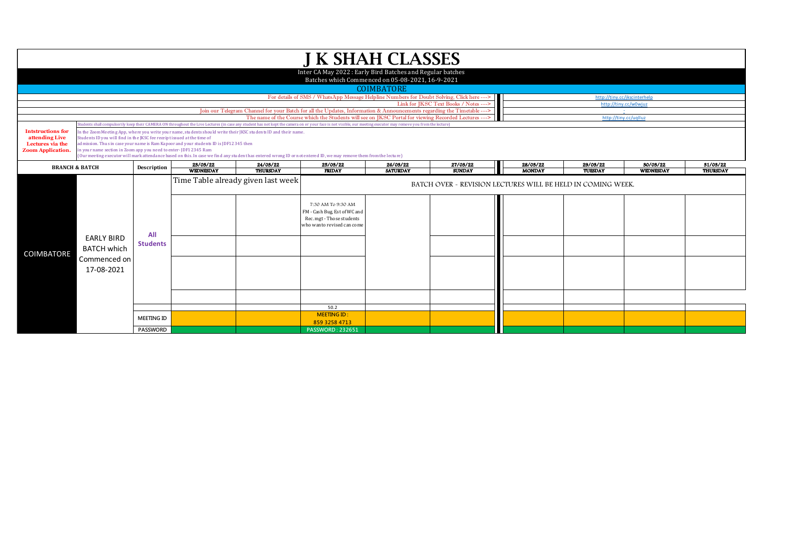|                                                                                            |                                                                       |                                                                                                                                                                                                                                                                                                                                                                                                                                                                                                                                                                                                                                                                                                                                                 |                              |                                    | <b>J K SHAH CLASSES</b>                                                                                                                                                                                                        |                             |                                                             |                           |                              |                       |                             |
|--------------------------------------------------------------------------------------------|-----------------------------------------------------------------------|-------------------------------------------------------------------------------------------------------------------------------------------------------------------------------------------------------------------------------------------------------------------------------------------------------------------------------------------------------------------------------------------------------------------------------------------------------------------------------------------------------------------------------------------------------------------------------------------------------------------------------------------------------------------------------------------------------------------------------------------------|------------------------------|------------------------------------|--------------------------------------------------------------------------------------------------------------------------------------------------------------------------------------------------------------------------------|-----------------------------|-------------------------------------------------------------|---------------------------|------------------------------|-----------------------|-----------------------------|
|                                                                                            |                                                                       |                                                                                                                                                                                                                                                                                                                                                                                                                                                                                                                                                                                                                                                                                                                                                 |                              |                                    | Inter CA May 2022: Early Bird Batches and Regular batches<br>Batches which Commenced on 05-08-2021, 16-9-2021                                                                                                                  |                             |                                                             |                           |                              |                       |                             |
|                                                                                            |                                                                       |                                                                                                                                                                                                                                                                                                                                                                                                                                                                                                                                                                                                                                                                                                                                                 |                              |                                    | For details of SMS / WhatsApp Message Helpline Numbers for Doubt Solving, Click here --->                                                                                                                                      | <b>COIMBATORE</b>           |                                                             |                           | http://tiny.cc/jkscinterhelp |                       |                             |
|                                                                                            |                                                                       |                                                                                                                                                                                                                                                                                                                                                                                                                                                                                                                                                                                                                                                                                                                                                 |                              |                                    | Join our Telegram Channel for your Batch for all the Updates, Information & Announcements regarding the Timetable ---><br>The name of the Course which the Students will see on JKSC Portal for viewing Recorded Lectures ---> |                             | Link for JKSC Text Books / Notes --->                       |                           | http://tiny.cc/uqllua        | http://tinv.cc/w0wiuz |                             |
| <b>Intstructions for</b><br>attending Live<br>Lectures via the<br><b>Zoom Application.</b> |                                                                       | tudents shall compulsorily keep their CAMERA ON throughout the Live Lectures (in case any student has not kept the camera on or your face is not visible, our meeting executor may remove you from the lecture)<br>In the Zoom Meeting App, where you write your name, students should write their JKSC students ID and their name.<br>Students ID you will find in the JKSC fee receipt issued at the time of<br>admission. Thus in case your name is Ram Kapoor and your students ID is JDF12345 then<br>n your name section in Zoom app you need to enter-JDF12345 Ram<br>(Our meeting executor will mark attendance based on this. In case we find any student has entered wrong ID or not entered ID, we may remove them from the lecture) |                              |                                    |                                                                                                                                                                                                                                |                             |                                                             |                           |                              |                       |                             |
| <b>BRANCH &amp; BATCH</b>                                                                  |                                                                       | Description                                                                                                                                                                                                                                                                                                                                                                                                                                                                                                                                                                                                                                                                                                                                     | 23/03/22<br><b>WEDNESDAY</b> | 24/03/22<br><b>THURSDAY</b>        | 25/03/22<br><b>FRIDAY</b>                                                                                                                                                                                                      | 26/03/22<br><b>SATURDAY</b> | 27/03/22<br><b>SUNDAY</b>                                   | 28/03/22<br><b>MONDAY</b> | 29/03/22<br>TUESDAY          | 30/03/22<br>WEDNESDAY | 31/03/22<br><b>THURSDAY</b> |
| <b>COIMBATORE</b>                                                                          | <b>EARLY BIRD</b><br><b>BATCH which</b><br>Commenced on<br>17-08-2021 | All<br><b>Students</b>                                                                                                                                                                                                                                                                                                                                                                                                                                                                                                                                                                                                                                                                                                                          |                              | Time Table already given last week | 7:30 AM To 9:30 AM<br>FM - Cash Bug, Est of WC and<br>Rec. mgt - Those students<br>who wanto revised can come                                                                                                                  |                             | BATCH OVER - REVISION LECTURES WILL BE HELD IN COMING WEEK. |                           |                              |                       |                             |
|                                                                                            |                                                                       | <b>MEETING ID</b>                                                                                                                                                                                                                                                                                                                                                                                                                                                                                                                                                                                                                                                                                                                               |                              |                                    | 50.2<br><b>MEETING ID:</b>                                                                                                                                                                                                     |                             |                                                             |                           |                              |                       |                             |
|                                                                                            |                                                                       | PASSWORD                                                                                                                                                                                                                                                                                                                                                                                                                                                                                                                                                                                                                                                                                                                                        |                              |                                    | 859 3258 4713<br><b>PASSWORD: 232651</b>                                                                                                                                                                                       |                             |                                                             |                           |                              |                       |                             |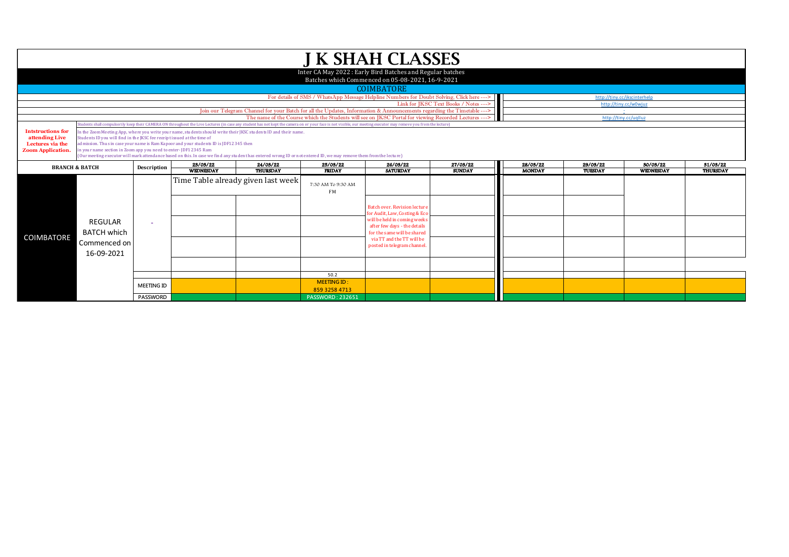|                                                                                            |                                                                                                                                                                                                                                                                                                                                                       |                                      |                              |                                    |                                                                | <b>J K SHAH CLASSES</b>                                                                                                                                                                                                         |                           |                           |                     |                              |                             |  |  |  |
|--------------------------------------------------------------------------------------------|-------------------------------------------------------------------------------------------------------------------------------------------------------------------------------------------------------------------------------------------------------------------------------------------------------------------------------------------------------|--------------------------------------|------------------------------|------------------------------------|----------------------------------------------------------------|---------------------------------------------------------------------------------------------------------------------------------------------------------------------------------------------------------------------------------|---------------------------|---------------------------|---------------------|------------------------------|-----------------------------|--|--|--|
|                                                                                            |                                                                                                                                                                                                                                                                                                                                                       |                                      |                              |                                    |                                                                | Inter CA May 2022: Early Bird Batches and Regular batches<br>Batches which Commenced on 05-08-2021, 16-9-2021                                                                                                                   |                           |                           |                     |                              |                             |  |  |  |
|                                                                                            |                                                                                                                                                                                                                                                                                                                                                       |                                      |                              |                                    |                                                                | <b>COIMBATORE</b>                                                                                                                                                                                                               |                           |                           |                     |                              |                             |  |  |  |
|                                                                                            | For details of SMS / WhatsApp Message Helpline Numbers for Doubt Solving, Click here ---><br>http://tiny.cc/jkscinterhelp<br>Link for JKSC Text Books / Notes --->                                                                                                                                                                                    |                                      |                              |                                    |                                                                |                                                                                                                                                                                                                                 |                           |                           |                     |                              |                             |  |  |  |
|                                                                                            |                                                                                                                                                                                                                                                                                                                                                       |                                      |                              |                                    |                                                                |                                                                                                                                                                                                                                 |                           |                           |                     | http://tinv.cc/w0wiuz        |                             |  |  |  |
|                                                                                            | Join our Telegram Channel for your Batch for all the Updates, Information & Announcements regarding the Timetable ---><br>The name of the Course which the Students will see on JKSC Portal for viewing Recorded Lectures ---><br>http://tiny.cc/uqlluz                                                                                               |                                      |                              |                                    |                                                                |                                                                                                                                                                                                                                 |                           |                           |                     |                              |                             |  |  |  |
|                                                                                            | udents shall compulsorily keep their CAMERA ON throughout the Live Lectures (in case any student has not kept the camera on or your face is not visible, our meeting executor may remove you from the lecture)                                                                                                                                        |                                      |                              |                                    |                                                                |                                                                                                                                                                                                                                 |                           |                           |                     |                              |                             |  |  |  |
| <b>Intstructions for</b><br>attending Live<br>Lectures via the<br><b>Zoom Application.</b> | n the Zoom Meeting App, where you write your name, students should write their JKSC students ID and their name.<br>Students ID you will find in the JKSC fee receipt issued at the time of<br>admission. Thus in case your name is Ram Kapoor and your students ID is JDF12345 then<br>n your name section in Zoom app you need to enter-JDF12345 Ram |                                      |                              |                                    |                                                                |                                                                                                                                                                                                                                 |                           |                           |                     |                              |                             |  |  |  |
|                                                                                            | Our meeting executor will mark attendance based on this. In case we find any student has entered wrong ID or not entered ID, we may remove them from the lecture)                                                                                                                                                                                     |                                      |                              |                                    |                                                                |                                                                                                                                                                                                                                 |                           |                           |                     |                              |                             |  |  |  |
|                                                                                            | <b>BRANCH &amp; BATCH</b>                                                                                                                                                                                                                                                                                                                             | Description                          | 23/03/22<br><b>WEDNESDAY</b> | 24/03/22<br><b>THURSDAY</b>        | 25/03/22<br><b>FRIDAY</b>                                      | 26/03/22<br><b>SATURDAY</b>                                                                                                                                                                                                     | 27/03/22<br><b>SUNDAY</b> | 28/03/22<br><b>MONDAY</b> | 29/03/22<br>TUESDAY | 30/03/22<br><b>WEDNESDAY</b> | 31/03/22<br><b>THURSDAY</b> |  |  |  |
|                                                                                            |                                                                                                                                                                                                                                                                                                                                                       |                                      |                              |                                    |                                                                |                                                                                                                                                                                                                                 |                           |                           |                     |                              |                             |  |  |  |
| <b>COIMBATORE</b>                                                                          | REGULAR<br><b>BATCH which</b><br>Commenced on<br>16-09-2021                                                                                                                                                                                                                                                                                           |                                      |                              | Time Table already given last week | 7:30 AM To 9:30 AM<br><b>FM</b>                                | <b>Batch over, Revision lecture</b><br>for Audit, Law, Costing & Eco<br>will be held in coming weeks<br>after few days - the details<br>for the same will be shared<br>via TT and the TT will be<br>posted in telegram channel. |                           |                           |                     |                              |                             |  |  |  |
|                                                                                            |                                                                                                                                                                                                                                                                                                                                                       |                                      |                              |                                    | 50.2                                                           |                                                                                                                                                                                                                                 |                           |                           |                     |                              |                             |  |  |  |
|                                                                                            |                                                                                                                                                                                                                                                                                                                                                       | <b>MEETING ID</b><br><b>PASSWORD</b> |                              |                                    | <b>MEETING ID:</b><br>859 3258 4713<br><b>PASSWORD: 232651</b> |                                                                                                                                                                                                                                 |                           |                           |                     |                              |                             |  |  |  |